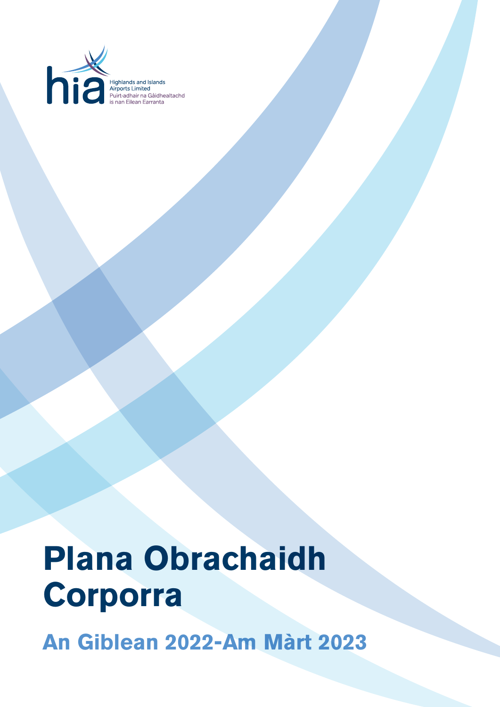

Highlands and Islands<br>Airports Limited<br>Puirt-adhair na Gàidhealtachd<br>is nan Eilean Earranta

# **Plana Obrachaidh Corporra**

**An Giblean 2022-Am Màrt 2023**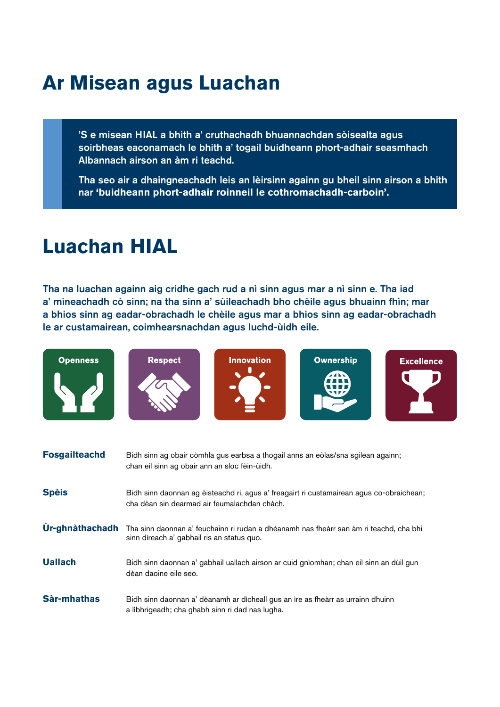# **Ar Misean agus Luachan**

**Respect** 

'S e misean HIAL a bhith a' cruthachadh bhuannachdan sòisealta agus soirbheas eaconamach le bhith a' togail buidheann phort-adhair seasmhach Albannach airson an àm ri teachd.

Tha seo air a dhaingneachadh leis an lèirsinn againn gu bheil sinn airson a bhith nar **'buidheann phort-adhair roinneil le cothromachadh-carboin'.**

### **Luachan HIAL**

**Openness** 

Tha na luachan againn aig cridhe gach rud a nì sinn agus mar a nì sinn e. Tha iad a' mìneachadh cò sinn; na tha sinn a' sùileachadh bho chèile agus bhuainn fhìn; mar a bhios sinn ag eadar-obrachadh le chèile agus mar a bhios sinn ag eadar-obrachadh le ar custamairean, coimhearsnachdan agus luchd-ùidh eile.

**Innovation** 

 $\ddot{\phantom{a}}$ 

**Ownership** 

 $\sqrt{N}$ 

**Excellence** 

n

| <b>Fosgailteachd</b> | Bidh sinn ag obair còmhla gus earbsa a thogail anns an eòlas/sna sgilean againn;<br>chan eil sinn ag obair ann an sloc fèin-ùidh.        |
|----------------------|------------------------------------------------------------------------------------------------------------------------------------------|
| <b>Spèis</b>         | Bidh sinn daonnan ag èisteachd ri, agus a' freagairt ri custamairean agus co-obraichean;<br>cha dèan sin dearmad air feumalachdan chàch. |
| Ùr-ghnàthachadh      | Tha sinn daonnan a' feuchainn ri rudan a dhèanamh nas fheàrr san àm ri teachd, cha bhi<br>sinn dìreach a' gabhail ris an status quo.     |
| <b>Uallach</b>       | Bidh sinn daonnan a' gabhail uallach airson ar cuid gnìomhan; chan eil sinn an dùil gun<br>dèan daoine eile seo.                         |
| Sàr-mhathas          | Bidh sinn daonnan a' dèanamh ar dìcheall gus an ìre as fheàrr as urrainn dhuinn<br>a lìbhrigeadh; cha ghabh sinn ri dad nas lugha.       |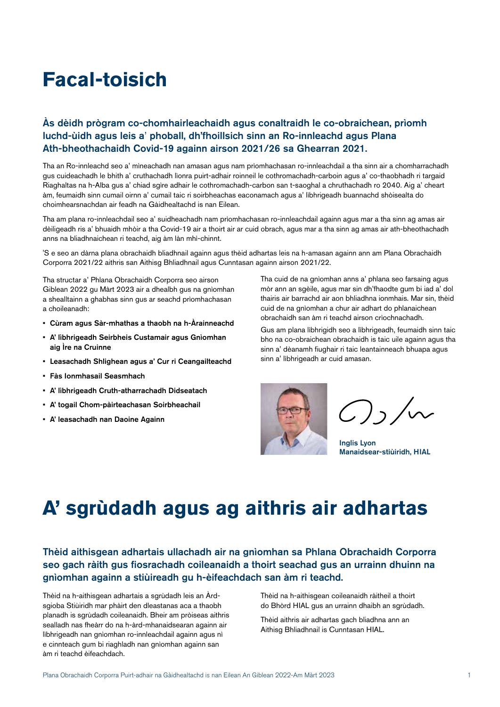# **Facal-toisich**

#### Às dèidh prògram co-chomhairleachaidh agus conaltraidh le co-obraichean, prìomh luchd-ùidh agus leis a' phoball, dh'fhoillsich sinn an Ro-innleachd agus Plana Ath-bheothachaidh Covid-19 againn airson 2021/26 sa Ghearran 2021.

Tha an Ro-innleachd seo a' mìneachadh nan amasan agus nam prìomhachasan ro-innleachdail a tha sinn air a chomharrachadh gus cuideachadh le bhith a' cruthachadh lìonra puirt-adhair roinneil le cothromachadh-carboin agus a' co-thaobhadh ri targaid Riaghaltas na h-Alba gus a' chiad sgìre adhair le cothromachadh-carbon san t-saoghal a chruthachadh ro 2040. Aig a' cheart àm, feumaidh sinn cumail oirnn a' cumail taic ri soirbheachas eaconamach agus a' lìbhrigeadh buannachd shòisealta do choimhearsnachdan air feadh na Gàidhealtachd is nan Eilean.

Tha am plana ro-innleachdail seo a' suidheachadh nam prìomhachasan ro-innleachdail againn agus mar a tha sinn ag amas air dèiligeadh ris a' bhuaidh mhòir a tha Covid-19 air a thoirt air ar cuid obrach, agus mar a tha sinn ag amas air ath-bheothachadh anns na bliadhnaichean ri teachd, aig àm làn mhì-chinnt.

'S e seo an dàrna plana obrachaidh bliadhnail againn agus thèid adhartas leis na h-amasan againn ann am Plana Obrachaidh Corporra 2021/22 aithris san Aithisg Bhliadhnail agus Cunntasan againn airson 2021/22.

Tha structar a' Phlana Obrachaidh Corporra seo airson Giblean 2022 gu Màrt 2023 air a dhealbh gus na gnìomhan a shealltainn a ghabhas sinn gus ar seachd prìomhachasan a choileanadh:

- Cùram agus Sàr-mhathas a thaobh na h-Àrainneachd
- A' lìbhrigeadh Seirbheis Custamair agus Gnìomhan aig Ìre na Cruinne
- Leasachadh Shlighean agus a' Cur ri Ceangailteachd
- Fàs Ionmhasail Seasmhach
- A' lìbhrigeadh Cruth-atharrachadh Didseatach
- A' togail Chom-pàirteachasan Soirbheachail
- A' leasachadh nan Daoine Againn

Tha cuid de na gnìomhan anns a' phlana seo farsaing agus mòr ann an sgèile, agus mar sin dh'fhaodte gum bi iad a' dol thairis air barrachd air aon bhliadhna ionmhais. Mar sin, thèid cuid de na gnìomhan a chur air adhart do phlanaichean obrachaidh san àm ri teachd airson crìochnachadh.

Gus am plana lìbhrigidh seo a lìbhrigeadh, feumaidh sinn taic bho na co-obraichean obrachaidh is taic uile againn agus tha sinn a' dèanamh fiughair ri taic leantainneach bhuapa agus sinn a' lìbhrigeadh ar cuid amasan.



 $7, /$ 

Inglis Lyon Manaidsear-stiùiridh, HIAL

### **A' sgrùdadh agus ag aithris air adhartas**

#### Thèid aithisgean adhartais ullachadh air na gnìomhan sa Phlana Obrachaidh Corporra seo gach ràith gus fiosrachadh coileanaidh a thoirt seachad gus an urrainn dhuinn na gnìomhan againn a stiùireadh gu h-èifeachdach san àm ri teachd.

Thèid na h-aithisgean adhartais a sgrùdadh leis an Àrdsgioba Stiùiridh mar phàirt den dleastanas aca a thaobh planadh is sgrùdadh coileanaidh. Bheir am pròiseas aithris sealladh nas fheàrr do na h-àrd-mhanaidsearan againn air lìbhrigeadh nan gnìomhan ro-innleachdail againn agus nì e cinnteach gum bi riaghladh nan gnìomhan againn san àm ri teachd èifeachdach.

Thèid na h-aithisgean coileanaidh ràitheil a thoirt do Bhòrd HIAL gus an urrainn dhaibh an sgrùdadh.

Thèid aithris air adhartas gach bliadhna ann an Aithisg Bhliadhnail is Cunntasan HIAL.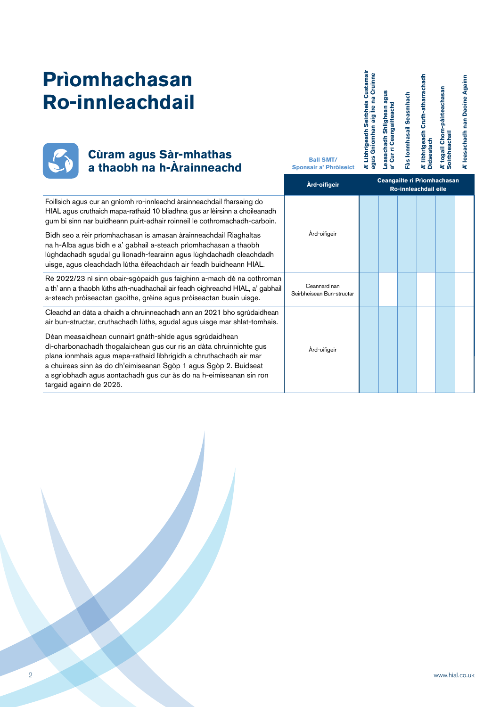# **Prìomhachasan Ro-innleachdail**



### **Cùram agus Sàr-mhathas a thaobh na h-Àrainneachd Ball SMT/ Ball SMT/ a thaobh na h-Àrainneachd**

**A' Lìbhrigeadh Seirbheis Custamair**  A' Lìbhrigeadh Seirbheis Custamair<br>agus Gnìomhan aig Ìre na Cruinne **A' lìbhrigeadh Cruth-atharrachadh agus Gnìomhan aig Ìre na Cruinne** A' lìbhrigeadh Cruth-atharrachadh<br>Didseatach A' togail Chom-pàirteachasan<br>Soirbheachail **A' togail Chom-pàirteachasan**  Leasachadh Shlighean agus<br>a' Cur ri Ceangailteachd **Leasachadh Shlighean agus**  Fàs Ionmhasail Seasmhach **Fàs Ionmhasail Seasmhach a' Cur ri Ceangailteachd Soirbheachail Didseatach Ceangailte ri Prìomhachasan Ro-innleachdail eile Àrd-oifigeir**Foillsich agus cur an gnìomh ro-innleachd àrainneachdail fharsaing do HIAL agus cruthaich mapa-rathaid 10 bliadhna gus ar lèirsinn a choileanadh gum bi sinn nar buidheann puirt-adhair roinneil le cothromachadh-carboin. Àrd-oifigeir Bidh seo a rèir prìomhachasan is amasan àrainneachdail Riaghaltas na h-Alba agus bidh e a' gabhail a-steach prìomhachasan a thaobh lùghdachadh sgudal gu lìonadh-fearainn agus lùghdachadh cleachdadh uisge, agus cleachdadh lùtha èifeachdach air feadh buidheann HIAL. Rè 2022/23 nì sinn obair-sgòpaidh gus faighinn a-mach dè na cothroman Ceannard nan a th' ann a thaobh lùths ath-nuadhachail air feadh oighreachd HIAL, a' gabhail Seirbheisean Bun-structar a-steach pròiseactan gaoithe, grèine agus pròiseactan buain uisge.

Cleachd an dàta a chaidh a chruinneachadh ann an 2021 bho sgrùdaidhean air bun-structar, cruthachadh lùths, sgudal agus uisge mar shlat-tomhais.

Dèan measaidhean cunnairt gnàth-shìde agus sgrùdaidhean dì-charbonachadh thogalaichean gus cur ris an dàta chruinnichte gus plana ionmhais agus mapa-rathaid lìbhrigidh a chruthachadh air mar a chuireas sinn às do dh'eimiseanan Sgòp 1 agus Sgòp 2. Buidseat a sgrìobhadh agus aontachadh gus cur às do na h-eimiseanan sin ron targaid againn de 2025.

**Sponsair a' Phròiseict** 

Àrd-oifigeir

**A' leasachadh nan Daoine Againn**

leasachadh nan Daoine Againn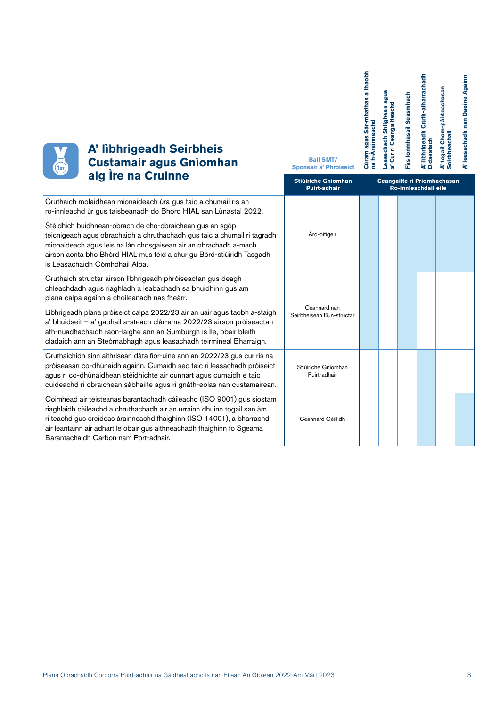**A' lìbhrigeadh Cruth-atharrachadh**  A' lìbhrigeadh Cruth-atharrachadh<br>Didseatach A' togail Chom-pàirteachasan<br>Soirbheachail **A' togail Chom-pàirteachasan**  Leasachadh Shlighean agus<br>a' Cur ri Ceangailteachd Fàs Ionmhasail Seasmhach **Fàs Ionmhasail Seasmhach Soirbheachail Didseatach**

**A' leasachadh nan Daoine Againn**

A' leasachadh nan Daoine Againn



### **A' lìbhrigeadh Seirbheis Custamair agus Gnìomhan aig Ìre na Cruinne**

| alg ire na Cruinne                                                                                                                                                                                                                                                                                                                                                                                                                                                            | <b>Stiùiriche Gnìomhan</b><br><b>Puirt-adhair</b> | Ceangailte ri Prìomhachasan<br>Ro-innleachdail eile |  |  |  |  |
|-------------------------------------------------------------------------------------------------------------------------------------------------------------------------------------------------------------------------------------------------------------------------------------------------------------------------------------------------------------------------------------------------------------------------------------------------------------------------------|---------------------------------------------------|-----------------------------------------------------|--|--|--|--|
| Cruthaich molaidhean mionaideach ùra gus taic a chumail ris an<br>ro-innleachd ùr gus taisbeanadh do Bhòrd HIAL san Lùnastal 2022.                                                                                                                                                                                                                                                                                                                                            |                                                   |                                                     |  |  |  |  |
| Stèidhich buidhnean-obrach de cho-obraichean gus an sgòp<br>teicnigeach agus obrachaidh a chruthachadh gus taic a chumail ri tagradh<br>mionaideach agus leis na làn chosgaisean air an obrachadh a-mach<br>airson aonta bho Bhòrd HIAL mus tèid a chur gu Bòrd-stiùiridh Tasgadh<br>is Leasachaidh Còmhdhail Alba.                                                                                                                                                           | Àrd-oifigeir                                      |                                                     |  |  |  |  |
| Cruthaich structar airson libhrigeadh phròiseactan gus deagh<br>chleachdadh agus riaghladh a leabachadh sa bhuidhinn gus am<br>plana calpa againn a choileanadh nas fheàrr.<br>Libhrigeadh plana pròiseict calpa 2022/23 air an uair agus taobh a-staigh<br>a' bhuidseit - a' gabhail a-steach clàr-ama 2022/23 airson pròiseactan<br>ath-nuadhachaidh raon-laighe ann an Sumburgh is Ìle, obair bleith<br>cladaich ann an Steòrnabhagh agus leasachadh tèirmineal Bharraigh. | Ceannard nan<br>Seirbheisean Bun-structar         |                                                     |  |  |  |  |
| Cruthaichidh sinn aithrisean dàta fìor-ùine ann an 2022/23 gus cur ris na<br>pròiseasan co-dhùnaidh againn. Cumaidh seo taic ri leasachadh pròiseict<br>agus ri co-dhùnaidhean stèidhichte air cunnart agus cumaidh e taic<br>cuideachd ri obraichean sàbhailte agus ri gnàth-eòlas nan custamairean.                                                                                                                                                                         | Stiùiriche Gnìomhan<br>Puirt-adhair               |                                                     |  |  |  |  |
| Coimhead air teisteanas barantachadh càileachd (ISO 9001) gus siostam<br>riaghlaidh càileachd a chruthachadh air an urrainn dhuinn togail san àm<br>ri teachd gus creideas àrainneachd fhaighinn (ISO 14001), a bharrachd<br>air leantainn air adhart le obair gus aithneachadh fhaighinn fo Sgeama<br>Barantachaidh Carbon nam Port-adhair.                                                                                                                                  | Ceannard Gèillidh                                 |                                                     |  |  |  |  |

**Ball SMT/ Sponsair a' Phròiseict**  **Cùram agus Sàr-mhathas a thaobh** 

Cùram agus Sàr-mhathas a thaobh<br>na h-Àrainneachd

**na h-Àrainneachd**

**Leasachadh Shlighean agus a' Cur ri Ceangailteachd**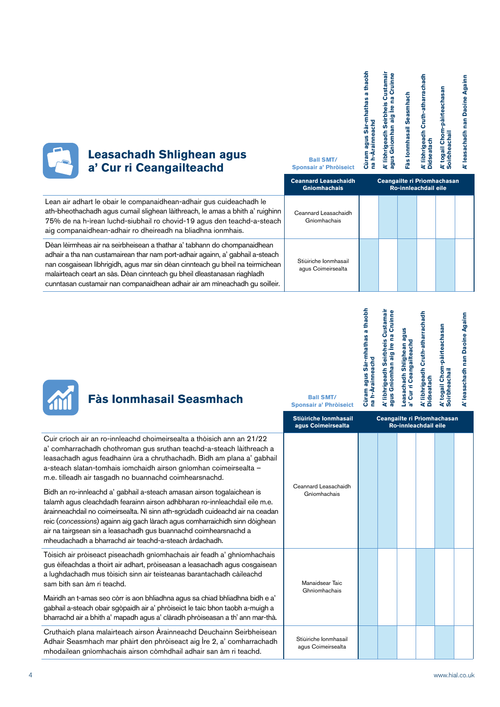| <b>Leasachadh Shlighean agus</b><br>a' Cur ri Ceangailteachd                                                                                                                                                                                                                                                                                                                                             | <b>Ball SMT/</b><br>Sponsair a' Phròiseict         | thaobh | ustamai<br>Cruinne<br>မြ<br><b>SinB</b> | easmhach<br>asail | Cruth-atharrachadh<br>eadh<br>libhrig | pàirteach<br>oirbheachai | Againn<br><b>Daoine</b><br>leasachadh |
|----------------------------------------------------------------------------------------------------------------------------------------------------------------------------------------------------------------------------------------------------------------------------------------------------------------------------------------------------------------------------------------------------------|----------------------------------------------------|--------|-----------------------------------------|-------------------|---------------------------------------|--------------------------|---------------------------------------|
|                                                                                                                                                                                                                                                                                                                                                                                                          | <b>Ceannard Leasachaidh</b><br><b>Gniomhachais</b> |        | Ceangailte ri Prìomhachasan             |                   | Ro-innleachdail eile                  |                          |                                       |
| Lean air adhart le obair le companaidhean-adhair gus cuideachadh le<br>ath-bheothachadh agus cumail slighean làithreach, le amas a bhith a' ruighinn<br>75% de na h-ìrean luchd-siubhail ro chovid-19 agus den teachd-a-steach<br>aig companaidhean-adhair ro dheireadh na bliadhna ionmhais.                                                                                                            | Ceannard Leasachaidh<br>Gnìomhachais               |        |                                         |                   |                                       |                          |                                       |
| Dèan lèirmheas air na seirbheisean a thathar a' tabhann do chompanaidhean<br>adhair a tha nan custamairean thar nam port-adhair againn, a' gabhail a-steach<br>nan cosgaisean libhrigidh, agus mar sin dèan cinnteach gu bheil na teirmichean<br>malairteach ceart an sàs. Dèan cinnteach gu bheil dleastanasan riaghladh<br>cunntasan custamair nan companaidhean adhair air am mìneachadh gu soilleir. | Stiùiriche Ionmhasail<br>agus Coimeirsealta        |        |                                         |                   |                                       |                          |                                       |

|      | Cùram agus Sàr-mhathas a thaobh<br>na h-Arainneachd | A' libhrigeadh Seirbheis Custamair<br>agus Gnìomhan aig Ire na Cruinne | Leasachadh Shlighean agus<br>a' Cur ri Ceangailteachd | A' libhrigeadh Cruth-atharrachadh<br><b>Didseatach</b> | A' togail Chom-pàirteachasan<br>Soirbheachail | A' leasachadh nan Daoine Againn |
|------|-----------------------------------------------------|------------------------------------------------------------------------|-------------------------------------------------------|--------------------------------------------------------|-----------------------------------------------|---------------------------------|
| eict |                                                     |                                                                        |                                                       |                                                        |                                               |                                 |



### **Fàs Ionmhasail Seasmha**

| <b>Fàs Ionmhasail Seasmhach</b>                                                                                                                                                                                                                                                                                                                                                                                                                                                                                                                                                                                                                                                                                                                                                                               | <b>Ball SMT/</b><br>Sponsair a' Phròiseict  | Cùra<br>1a h | ្តី ទី |                      | 으로                          | $\frac{1}{2}$ |
|---------------------------------------------------------------------------------------------------------------------------------------------------------------------------------------------------------------------------------------------------------------------------------------------------------------------------------------------------------------------------------------------------------------------------------------------------------------------------------------------------------------------------------------------------------------------------------------------------------------------------------------------------------------------------------------------------------------------------------------------------------------------------------------------------------------|---------------------------------------------|--------------|--------|----------------------|-----------------------------|---------------|
|                                                                                                                                                                                                                                                                                                                                                                                                                                                                                                                                                                                                                                                                                                                                                                                                               | Stiùiriche Ionmhasail<br>agus Coimeirsealta |              |        | Ro-innleachdail eile | Ceangailte ri Prìomhachasan |               |
| Cuir crìoch air an ro-innleachd choimeirsealta a thòisich ann an 21/22<br>a' comharrachadh chothroman gus sruthan teachd-a-steach làithreach a<br>leasachadh agus feadhainn ùra a chruthachadh. Bidh am plana a' gabhail<br>a-steach slatan-tomhais iomchaidh airson gnìomhan coimeirsealta -<br>m.e. tilleadh air tasgadh no buannachd coimhearsnachd.<br>Bidh an ro-innleachd a' gabhail a-steach amasan airson togalaichean is<br>talamh agus cleachdadh fearainn airson adhbharan ro-innleachdail eile m.e.<br>àrainneachdail no coimeirsealta. Nì sinn ath-sgrùdadh cuideachd air na ceadan<br>reic (concessions) againn aig gach làrach agus comharraichidh sinn dòighean<br>air na tairgsean sin a leasachadh gus buannachd coimhearsnachd a<br>mheudachadh a bharrachd air teachd-a-steach àrdachadh. | Ceannard Leasachaidh<br>Gnìomhachais        |              |        |                      |                             |               |

Manaidsear Taic Ghnìomhachais

Stiùiriche Ionmhasail agus Coimeirsealta

Tòisich air pròiseact piseachadh gnìomhachais air feadh a' ghnìomhachais gus èifeachdas a thoirt air adhart, pròiseasan a leasachadh agus cosgaisean a lughdachadh mus tòisich sinn air teisteanas barantachadh càileachd sam bith san àm ri teachd.

Mairidh an t-amas seo còrr is aon bhliadhna agus sa chiad bhliadhna bidh e a' gabhail a-steach obair sgòpaidh air a' phròiseict le taic bhon taobh a-muigh a bharrachd air a bhith a' mapadh agus a' clàradh phròiseasan a th' ann mar-thà.

Cruthaich plana malairteach airson Àrainneachd Deuchainn Seirbheisean Adhair Seasmhach mar phàirt den phròiseact aig Ìre 2, a' comharrachadh mhodailean gnìomhachais airson còmhdhail adhair san àm ri teachd.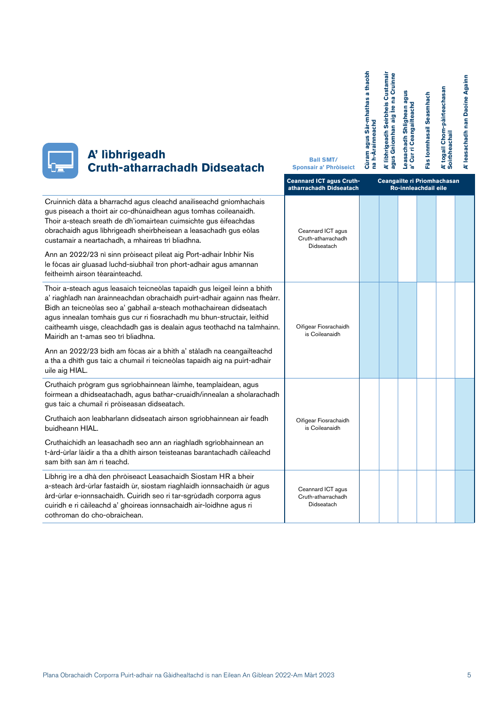| A' lìbhrigeadh<br><b>Cruth-atharrachadh Didseatach</b>                                                                                                                                                                                                                                                                                                                                                                     | <b>Ball SMT/</b><br>Sponsair a' Phròiseict                 | Cùram agus Sàr-mhathas a thaobh<br>na h-Arainneachd | A' libhrigeadh Seirbheis Custamair<br>agus Gnìomhan aig Ìre na Cruinne | Leasachadh Shlighean agus<br>Curri Ceangailteachd | Fàs Ionmhasail Seasmhach | A' togail Chom-pàirteachasan<br>Soirbheachail | A' leasachadh nan Daoine Againn |
|----------------------------------------------------------------------------------------------------------------------------------------------------------------------------------------------------------------------------------------------------------------------------------------------------------------------------------------------------------------------------------------------------------------------------|------------------------------------------------------------|-----------------------------------------------------|------------------------------------------------------------------------|---------------------------------------------------|--------------------------|-----------------------------------------------|---------------------------------|
|                                                                                                                                                                                                                                                                                                                                                                                                                            | <b>Ceannard ICT agus Cruth-</b><br>atharrachadh Didseatach |                                                     |                                                                        | Ro-innleachdail eile                              |                          | Ceangailte ri Prìomhachasan                   |                                 |
| Cruinnich dàta a bharrachd agus cleachd anailiseachd gnìomhachais<br>gus piseach a thoirt air co-dhùnaidhean agus tomhas coileanaidh.<br>Thoir a-steach sreath de dh'iomairtean cuimsichte gus èifeachdas<br>obrachaidh agus lìbhrigeadh sheirbheisean a leasachadh gus eòlas<br>custamair a neartachadh, a mhaireas trì bliadhna.                                                                                         | Ceannard ICT agus<br>Cruth-atharrachadh<br>Didseatach      |                                                     |                                                                        |                                                   |                          |                                               |                                 |
| Ann an 2022/23 nì sinn pròiseact pìleat aig Port-adhair Inbhir Nis<br>le fòcas air gluasad luchd-siubhail tron phort-adhair agus amannan<br>feitheimh airson tèarainteachd.                                                                                                                                                                                                                                                |                                                            |                                                     |                                                                        |                                                   |                          |                                               |                                 |
| Thoir a-steach agus leasaich teicneòlas tapaidh gus leigeil leinn a bhith<br>a' riaghladh nan àrainneachdan obrachaidh puirt-adhair againn nas fheàrr.<br>Bidh an teicneòlas seo a' gabhail a-steach mothachairean didseatach<br>agus innealan tomhais gus cur ri fiosrachadh mu bhun-structair, leithid<br>caitheamh uisge, cleachdadh gas is dealain agus teothachd na talmhainn.<br>Mairidh an t-amas seo trì bliadhna. | Oifigear Fiosrachaidh<br>is Coileanaidh                    |                                                     |                                                                        |                                                   |                          |                                               |                                 |
| Ann an 2022/23 bidh am fòcas air a bhith a' stàladh na ceangailteachd<br>a tha a dhìth gus taic a chumail ri teicneòlas tapaidh aig na puirt-adhair<br>uile aig HIAL.                                                                                                                                                                                                                                                      |                                                            |                                                     |                                                                        |                                                   |                          |                                               |                                 |
| Cruthaich prògram gus sgrìobhainnean làimhe, teamplaidean, agus<br>foirmean a dhidseatachadh, agus bathar-cruaidh/innealan a sholarachadh<br>gus taic a chumail ri pròiseasan didseatach.                                                                                                                                                                                                                                  |                                                            |                                                     |                                                                        |                                                   |                          |                                               |                                 |
| Cruthaich aon leabharlann didseatach airson sgrìobhainnean air feadh<br>buidheann HIAL.                                                                                                                                                                                                                                                                                                                                    | Oifigear Fiosrachaidh<br>is Coileanaidh                    |                                                     |                                                                        |                                                   |                          |                                               |                                 |
| Cruthaichidh an leasachadh seo ann an riaghladh sgrìobhainnean an<br>t-àrd-ùrlar làidir a tha a dhìth airson teisteanas barantachadh càileachd<br>sam bith san àm ri teachd.                                                                                                                                                                                                                                               |                                                            |                                                     |                                                                        |                                                   |                          |                                               |                                 |
| Libhrig ìre a dhà den phròiseact Leasachaidh Siostam HR a bheir<br>a-steach àrd-ùrlar fastaidh ùr, siostam riaghlaidh ionnsachaidh ùr agus<br>àrd-ùrlar e-ionnsachaidh. Cuiridh seo ri tar-sgrùdadh corporra agus<br>cuiridh e ri càileachd a' ghoireas ionnsachaidh air-loidhne agus ri<br>cothroman do cho-obraichean.                                                                                                   | Ceannard ICT agus<br>Cruth-atharrachadh<br>Didseatach      |                                                     |                                                                        |                                                   |                          |                                               |                                 |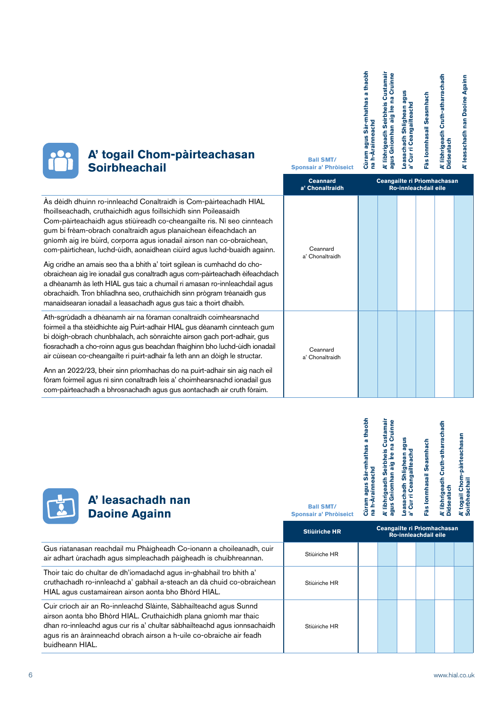| Cùram agus Sàr-mhathas a thaobh<br>A' libhrigeadh Seirbheis Custamair<br>agus Gnìomhan aig Ire na Cruinne<br>na h-Arainneachd | Leasachadh Shlighean agus<br>a' Cur ri Ceangailteachd | Fàs Ionmhasail Seasmhach | A' libhrigeadh Cruth-atharrachadh<br><b>Didseatach</b> |
|-------------------------------------------------------------------------------------------------------------------------------|-------------------------------------------------------|--------------------------|--------------------------------------------------------|
|-------------------------------------------------------------------------------------------------------------------------------|-------------------------------------------------------|--------------------------|--------------------------------------------------------|

**A' leasachadh nan Daoine Againn**

A' leasachadh nan Daoine Againn

| <b>OCC A' togail Chom-pàirteachasan<br/> Soirbheachail</b> |
|------------------------------------------------------------|
|                                                            |

|                                                                                                                                                                                                                                                                                                                                                                                                                                                                                                                                                                                                                                                                                                                                                                                                                                  | <b>Ceannard</b><br>a' Chonaltraidh | Ceangailte ri Prìomhachasan<br>Ro-innleachdail eile |  |  |  |  |
|----------------------------------------------------------------------------------------------------------------------------------------------------------------------------------------------------------------------------------------------------------------------------------------------------------------------------------------------------------------------------------------------------------------------------------------------------------------------------------------------------------------------------------------------------------------------------------------------------------------------------------------------------------------------------------------------------------------------------------------------------------------------------------------------------------------------------------|------------------------------------|-----------------------------------------------------|--|--|--|--|
| As dèidh dhuinn ro-innleachd Conaltraidh is Com-pàirteachadh HIAL<br>fhoillseachadh, cruthaichidh agus foillsichidh sinn Poileasaidh<br>Com-pàirteachaidh agus stiùireadh co-cheangailte ris. Nì seo cinnteach<br>gum bi frèam-obrach conaltraidh agus planaichean èifeachdach an<br>gnìomh aig ìre bùird, corporra agus ionadail airson nan co-obraichean,<br>com-pàirtichean, luchd-ùidh, aonaidhean ciùird agus luchd-buaidh againn.<br>Aig cridhe an amais seo tha a bhith a' toirt sgilean is cumhachd do cho-<br>obraichean aig ìre ionadail gus conaltradh agus com-pàirteachadh èifeachdach<br>a dhèanamh às leth HIAL gus taic a chumail ri amasan ro-innleachdail agus<br>obrachaidh. Tron bhliadhna seo, cruthaichidh sinn prògram trèanaidh gus<br>manaidsearan ionadail a leasachadh agus gus taic a thoirt dhaibh. | Ceannard<br>a' Chonaltraidh        |                                                     |  |  |  |  |
| Ath-sgrùdadh a dhèanamh air na fòraman conaltraidh coimhearsnachd<br>foirmeil a tha stèidhichte aig Puirt-adhair HIAL gus dèanamh cinnteach gum<br>bi dòigh-obrach chunbhalach, ach sònraichte airson gach port-adhair, gus<br>fiosrachadh a cho-roinn agus gus beachdan fhaighinn bho luchd-ùidh ionadail<br>air cùisean co-cheangailte ri puirt-adhair fa leth ann an dòigh le structar.<br>Ann an 2022/23, bheir sinn prìomhachas do na puirt-adhair sin aig nach eil<br>fòram foirmeil agus nì sinn conaltradh leis a' choimhearsnachd ionadail gus<br>com-pàirteachadh a bhrosnachadh agus gus aontachadh air cruth fòraim.                                                                                                                                                                                                 | Ceannard<br>a' Chonaltraidh        |                                                     |  |  |  |  |

**Ball SMT/ Sponsair a' Phròiseict** 

| A' leasachadh nan    |
|----------------------|
| <b>Daoine Againn</b> |

| <b>Ball SMT/</b><br><b>Sponsair a' Phròiseict</b> | thaobh<br><b>re</b><br>agus Sàr-mhathas<br>na h-Arainneachd<br>Cùram | A' libhrigeadh Seirbheis Custamair<br>Cruinne<br>œ<br>$\mathbf{e}$<br>Gnìomhan aig<br>agus | snBe<br>ri Ceangailteachd<br>Leasachadh Shlighean<br>ă<br>ັດ | Seasmhach<br><b>Ionmhasail</b><br>Fâs | Cruth-atharrachadh<br>A' libhrigeadh<br><b>Didseatach</b> | Chom-pàirteachasan<br>Soirbheachail<br>togail<br>à |
|---------------------------------------------------|----------------------------------------------------------------------|--------------------------------------------------------------------------------------------|--------------------------------------------------------------|---------------------------------------|-----------------------------------------------------------|----------------------------------------------------|
|                                                   |                                                                      |                                                                                            |                                                              |                                       |                                                           |                                                    |

|                                                                                                                                                                                                                                                                                                               | <b>Stiùiriche HR</b> | Ceangailte ri Prìomhachasan<br>Ro-innleachdail eile |
|---------------------------------------------------------------------------------------------------------------------------------------------------------------------------------------------------------------------------------------------------------------------------------------------------------------|----------------------|-----------------------------------------------------|
| Gus riatanasan reachdail mu Phàigheadh Co-ionann a choileanadh, cuir<br>air adhart ùrachadh agus sìmpleachadh pàigheadh is chuibhreannan.                                                                                                                                                                     | Stiùiriche HR        |                                                     |
| Thoir taic do chultar de dh'iomadachd agus in-ghabhail tro bhith a'<br>cruthachadh ro-innleachd a' gabhail a-steach an dà chuid co-obraichean<br>HIAL agus custamairean airson aonta bho Bhòrd HIAL.                                                                                                          | Stiùiriche HR        |                                                     |
| Cuir crìoch air an Ro-innleachd Slàinte, Sàbhailteachd agus Sunnd<br>airson aonta bho Bhòrd HIAL. Cruthaichidh plana gnìomh mar thaic<br>dhan ro-innleachd agus cur ris a' chultar sàbhailteachd agus ionnsachaidh<br>agus ris an àrainneachd obrach airson a h-uile co-obraiche air feadh<br>buidheann HIAL. | Stiùiriche HR        |                                                     |